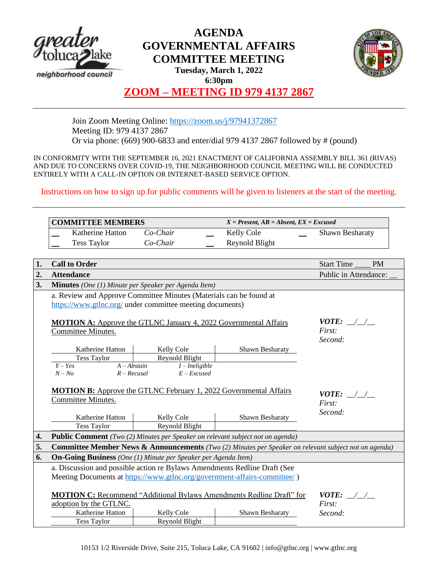

# **AGENDA GOVERNMENTAL AFFAIRS COMMITTEE MEETING**



**Tuesday, March 1, 2022 6:30pm**

## **ZOOM – MEETING ID 979 4137 2867**

Join Zoom Meeting Online:<https://zoom.us/j/97941372867> Meeting ID: 979 4137 2867 Or via phone: (669) 900-6833 and enter/dial 979 4137 2867 followed by # (pound)

IN CONFORMITY WITH THE SEPTEMBER 16, 2021 ENACTMENT OF CALIFORNIA ASSEMBLY BILL 361 (RIVAS) AND DUE TO CONCERNS OVER COVID-19, THE NEIGHBORHOOD COUNCIL MEETING WILL BE CONDUCTED ENTIRELY WITH A CALL-IN OPTION OR INTERNET-BASED SERVICE OPTION.

Instructions on how to sign up for public comments will be given to listeners at the start of the meeting.

|    | <b>COMMITTEE MEMBERS</b>                                                                                                        |                  | $X = Present, AB = Absent, EX = Excused$ |                                |  |  |
|----|---------------------------------------------------------------------------------------------------------------------------------|------------------|------------------------------------------|--------------------------------|--|--|
|    | Katherine Hatton                                                                                                                | Co-Chair         | Kelly Cole                               | Shawn Besharaty                |  |  |
|    | <b>Tess Taylor</b>                                                                                                              | Co-Chair         | Reynold Blight                           |                                |  |  |
|    |                                                                                                                                 |                  |                                          |                                |  |  |
| 1. | <b>Call to Order</b>                                                                                                            |                  |                                          | <b>Start Time</b><br><b>PM</b> |  |  |
| 2. | <b>Attendance</b>                                                                                                               |                  |                                          | Public in Attendance:          |  |  |
| 3. | Minutes (One (1) Minute per Speaker per Agenda Item)                                                                            |                  |                                          |                                |  |  |
|    | a. Review and Approve Committee Minutes (Materials can be found at<br>https://www.gtlnc.org/ under committee meeting documents) |                  |                                          |                                |  |  |
|    |                                                                                                                                 |                  |                                          |                                |  |  |
|    |                                                                                                                                 |                  |                                          | $VOTE:$ / /                    |  |  |
|    | <b>MOTION A:</b> Approve the GTLNC January 4, 2022 Governmental Affairs<br>Committee Minutes.                                   | First:           |                                          |                                |  |  |
|    |                                                                                                                                 |                  |                                          | Second:                        |  |  |
|    | Katherine Hatton                                                                                                                | Kelly Cole       | Shawn Besharaty                          |                                |  |  |
|    | <b>Tess Taylor</b>                                                                                                              | Reynold Blight   |                                          |                                |  |  |
|    | $Y - Yes$<br>$A - Abstain$                                                                                                      | $I$ – Ineligible |                                          |                                |  |  |
|    | $N - No$<br>$R - Recusal$                                                                                                       | $E - Excused$    |                                          |                                |  |  |
|    | <b>MOTION B:</b> Approve the GTLNC February 1, 2022 Governmental Affairs                                                        |                  |                                          |                                |  |  |
|    | Committee Minutes.                                                                                                              |                  |                                          | <i>VOTE:</i> / /               |  |  |
|    |                                                                                                                                 |                  |                                          | First:<br>Second:              |  |  |
|    | Katherine Hatton                                                                                                                | Kelly Cole       | Shawn Besharaty                          |                                |  |  |
|    | <b>Tess Taylor</b>                                                                                                              | Reynold Blight   |                                          |                                |  |  |
| 4. | <b>Public Comment</b> (Two (2) Minutes per Speaker on relevant subject not on agenda)                                           |                  |                                          |                                |  |  |
| 5. | Committee Member News & Announcements (Two (2) Minutes per Speaker on relevant subject not on agenda)                           |                  |                                          |                                |  |  |
| 6. | <b>On-Going Business</b> (One (1) Minute per Speaker per Agenda Item)                                                           |                  |                                          |                                |  |  |
|    | a. Discussion and possible action re Bylaws Amendments Redline Draft (See                                                       |                  |                                          |                                |  |  |
|    | Meeting Documents at https://www.gtlnc.org/government-affairs-committee/)                                                       |                  |                                          |                                |  |  |
|    | <b>MOTION C:</b> Recommend "Additional Bylaws Amendments Redline Draft" for                                                     |                  |                                          |                                |  |  |
|    | adoption by the GTLNC.                                                                                                          |                  |                                          | $VOTE:$ / /<br>First:          |  |  |
|    | Katherine Hatton                                                                                                                | Kelly Cole       | Shawn Besharaty                          | Second:                        |  |  |
|    | <b>Tess Taylor</b>                                                                                                              | Reynold Blight   |                                          |                                |  |  |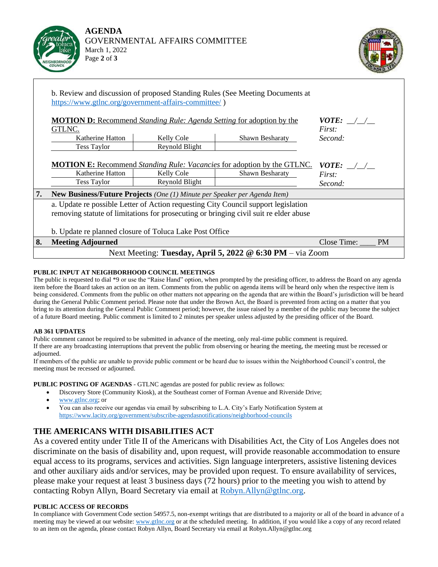



|    |                                                                                                                                                                             |                                                                                     | b. Review and discussion of proposed Standing Rules (See Meeting Documents at |                          |  |  |  |
|----|-----------------------------------------------------------------------------------------------------------------------------------------------------------------------------|-------------------------------------------------------------------------------------|-------------------------------------------------------------------------------|--------------------------|--|--|--|
|    | https://www.gtlnc.org/government-affairs-committee/)                                                                                                                        |                                                                                     |                                                                               |                          |  |  |  |
|    | GTLNC.                                                                                                                                                                      | <b>MOTION D:</b> Recommend <i>Standing Rule: Agenda Setting</i> for adoption by the |                                                                               |                          |  |  |  |
|    | Katherine Hatton                                                                                                                                                            | Kelly Cole                                                                          | Shawn Besharaty                                                               | Second:                  |  |  |  |
|    | <b>Tess Taylor</b>                                                                                                                                                          | Reynold Blight                                                                      |                                                                               |                          |  |  |  |
|    |                                                                                                                                                                             |                                                                                     |                                                                               |                          |  |  |  |
|    | <b>MOTION E:</b> Recommend <i>Standing Rule: Vacancies</i> for adoption by the GTLNC.                                                                                       | <i>VOTE:</i> $\_\_\_\_\_\_\_\_\_\_\$                                                |                                                                               |                          |  |  |  |
|    | Katherine Hatton                                                                                                                                                            | <b>Kelly Cole</b>                                                                   | <b>Shawn Besharaty</b>                                                        | First:                   |  |  |  |
|    | Tess Taylor                                                                                                                                                                 | Reynold Blight                                                                      |                                                                               | Second:                  |  |  |  |
| 7. | New Business/Future Projects (One (1) Minute per Speaker per Agenda Item)                                                                                                   |                                                                                     |                                                                               |                          |  |  |  |
|    | a. Update re possible Letter of Action requesting City Council support legislation<br>removing statute of limitations for prosecuting or bringing civil suit re elder abuse |                                                                                     |                                                                               |                          |  |  |  |
|    | b. Update replanned closure of Toluca Lake Post Office                                                                                                                      |                                                                                     |                                                                               |                          |  |  |  |
| 8. | <b>Meeting Adjourned</b>                                                                                                                                                    |                                                                                     |                                                                               | <b>PM</b><br>Close Time: |  |  |  |
|    | Next Meeting: Tuesday, April 5, 2022 @ 6:30 PM - via Zoom                                                                                                                   |                                                                                     |                                                                               |                          |  |  |  |

### **PUBLIC INPUT AT NEIGHBORHOOD COUNCIL MEETINGS**

The public is requested to dial \*9 or use the "Raise Hand" option, when prompted by the presiding officer, to address the Board on any agenda item before the Board takes an action on an item. Comments from the public on agenda items will be heard only when the respective item is being considered. Comments from the public on other matters not appearing on the agenda that are within the Board's jurisdiction will be heard during the General Public Comment period. Please note that under the Brown Act, the Board is prevented from acting on a matter that you bring to its attention during the General Public Comment period; however, the issue raised by a member of the public may become the subject of a future Board meeting. Public comment is limited to 2 minutes per speaker unless adjusted by the presiding officer of the Board.

### **AB 361 UPDATES**

Public comment cannot be required to be submitted in advance of the meeting, only real-time public comment is required. If there are any broadcasting interruptions that prevent the public from observing or hearing the meeting, the meeting must be recessed or adjourned.

If members of the public are unable to provide public comment or be heard due to issues within the Neighborhood Council's control, the meeting must be recessed or adjourned.

**PUBLIC POSTING OF AGENDAS** - GTLNC agendas are posted for public review as follows:

- Discovery Store (Community Kiosk), at the Southeast corner of Forman Avenue and Riverside Drive;
- [www.gtlnc.org;](http://www.gtlnc.org/) or
- You can also receive our agendas via email by subscribing to L.A. City's Early Notification System at <https://www.lacity.org/government/subscribe-agendasnotifications/neighborhood-councils>

### **THE AMERICANS WITH DISABILITIES ACT**

As a covered entity under Title II of the Americans with Disabilities Act, the City of Los Angeles does not discriminate on the basis of disability and, upon request, will provide reasonable accommodation to ensure equal access to its programs, services and activities. Sign language interpreters, assistive listening devices and other auxiliary aids and/or services, may be provided upon request. To ensure availability of services, please make your request at least 3 business days (72 hours) prior to the meeting you wish to attend by contacting Robyn Allyn, Board Secretary via email at [Robyn.Allyn@gtlnc.org.](mailto:Robyn.Allyn@gtlnc.org)

#### **PUBLIC ACCESS OF RECORDS**

In compliance with Government Code section 54957.5, non-exempt writings that are distributed to a majority or all of the board in advance of a meeting may be viewed at our website: [www.gtlnc.org](http://www.gtlnc.org/) or at the scheduled meeting. In addition, if you would like a copy of any record related to an item on the agenda, please contact Robyn Allyn, Board Secretary via email at Robyn.Allyn@gtlnc.org